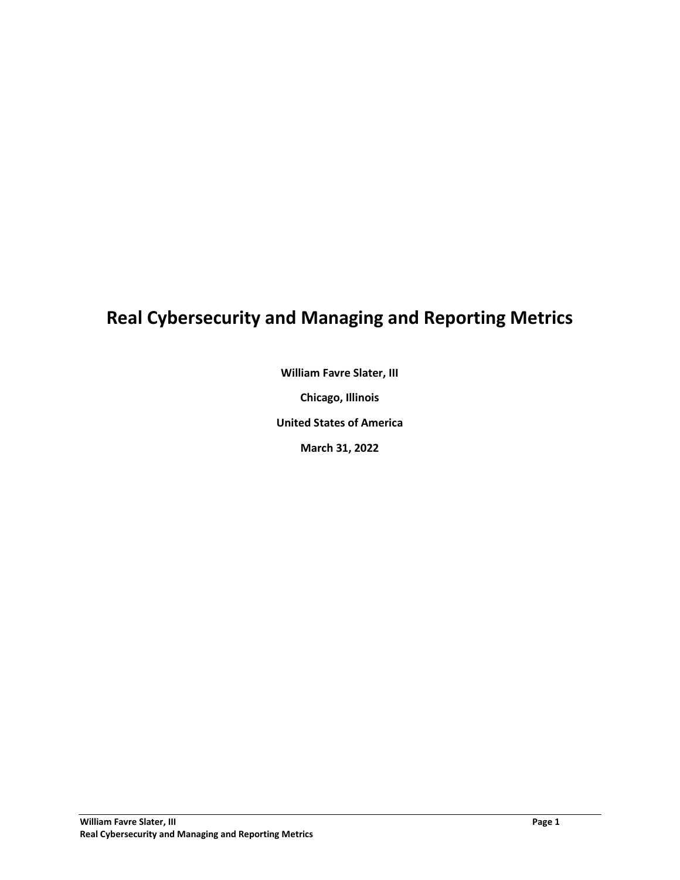# **Real Cybersecurity and Managing and Reporting Metrics**

**William Favre Slater, III**

**Chicago, Illinois**

**United States of America**

**March 31, 2022**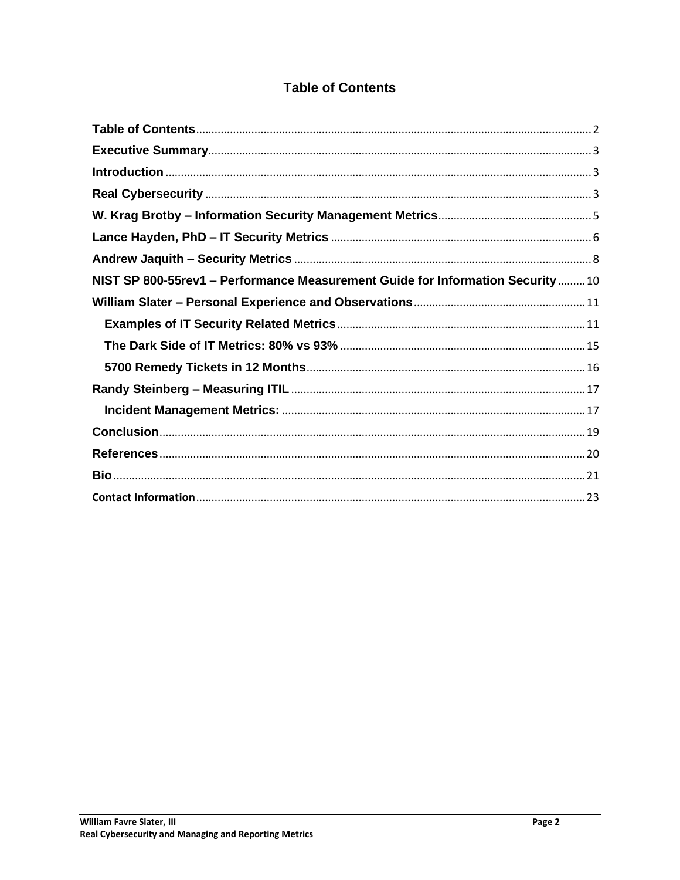## **Table of Contents**

<span id="page-1-0"></span>

| NIST SP 800-55rev1 - Performance Measurement Guide for Information Security10 |
|-------------------------------------------------------------------------------|
|                                                                               |
|                                                                               |
|                                                                               |
|                                                                               |
|                                                                               |
|                                                                               |
|                                                                               |
|                                                                               |
|                                                                               |
|                                                                               |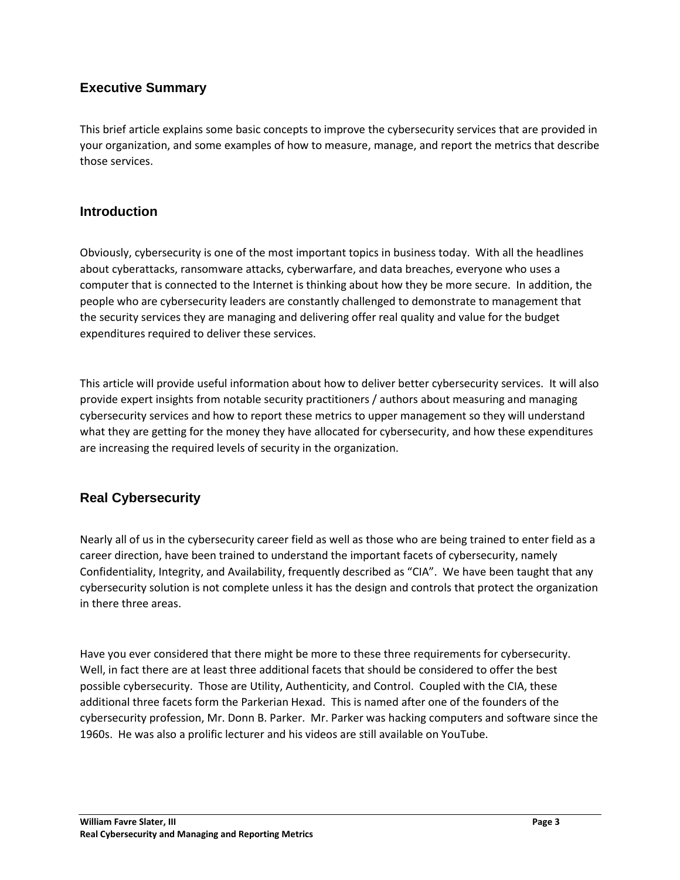## <span id="page-2-0"></span>**Executive Summary**

This brief article explains some basic concepts to improve the cybersecurity services that are provided in your organization, and some examples of how to measure, manage, and report the metrics that describe those services.

## <span id="page-2-1"></span>**Introduction**

Obviously, cybersecurity is one of the most important topics in business today. With all the headlines about cyberattacks, ransomware attacks, cyberwarfare, and data breaches, everyone who uses a computer that is connected to the Internet is thinking about how they be more secure. In addition, the people who are cybersecurity leaders are constantly challenged to demonstrate to management that the security services they are managing and delivering offer real quality and value for the budget expenditures required to deliver these services.

This article will provide useful information about how to deliver better cybersecurity services. It will also provide expert insights from notable security practitioners / authors about measuring and managing cybersecurity services and how to report these metrics to upper management so they will understand what they are getting for the money they have allocated for cybersecurity, and how these expenditures are increasing the required levels of security in the organization.

## <span id="page-2-2"></span>**Real Cybersecurity**

Nearly all of us in the cybersecurity career field as well as those who are being trained to enter field as a career direction, have been trained to understand the important facets of cybersecurity, namely Confidentiality, Integrity, and Availability, frequently described as "CIA". We have been taught that any cybersecurity solution is not complete unless it has the design and controls that protect the organization in there three areas.

Have you ever considered that there might be more to these three requirements for cybersecurity. Well, in fact there are at least three additional facets that should be considered to offer the best possible cybersecurity. Those are Utility, Authenticity, and Control. Coupled with the CIA, these additional three facets form the Parkerian Hexad. This is named after one of the founders of the cybersecurity profession, Mr. Donn B. Parker. Mr. Parker was hacking computers and software since the 1960s. He was also a prolific lecturer and his videos are still available on YouTube.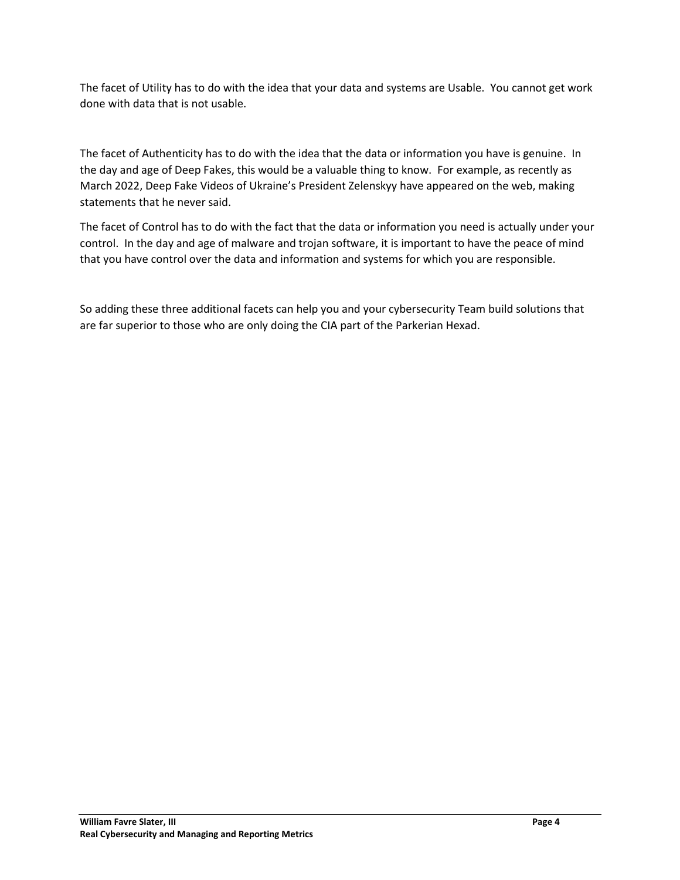The facet of Utility has to do with the idea that your data and systems are Usable. You cannot get work done with data that is not usable.

The facet of Authenticity has to do with the idea that the data or information you have is genuine. In the day and age of Deep Fakes, this would be a valuable thing to know. For example, as recently as March 2022, Deep Fake Videos of Ukraine's President Zelenskyy have appeared on the web, making statements that he never said.

The facet of Control has to do with the fact that the data or information you need is actually under your control. In the day and age of malware and trojan software, it is important to have the peace of mind that you have control over the data and information and systems for which you are responsible.

So adding these three additional facets can help you and your cybersecurity Team build solutions that are far superior to those who are only doing the CIA part of the Parkerian Hexad.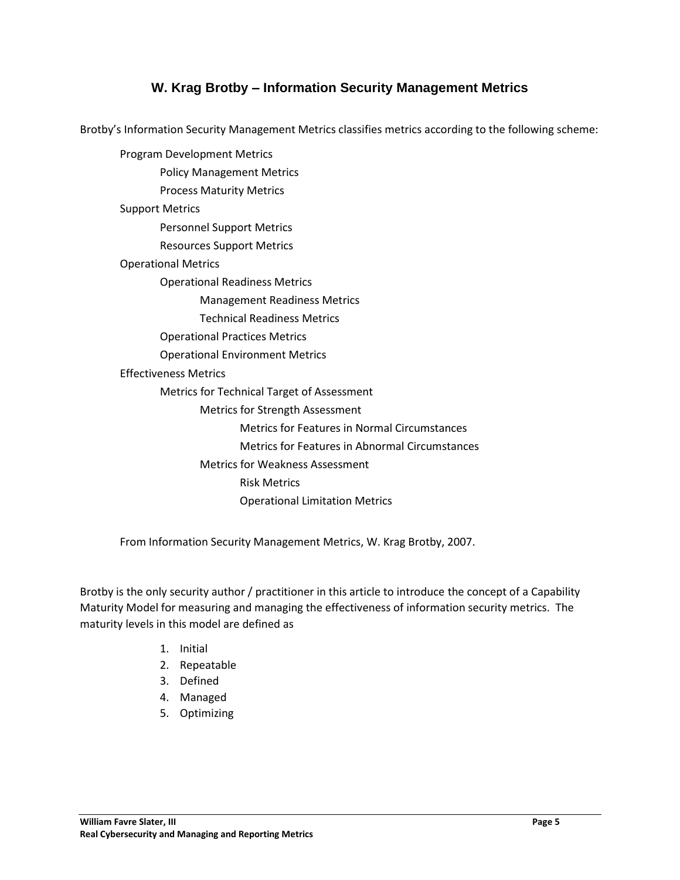## **W. Krag Brotby – Information Security Management Metrics**

<span id="page-4-0"></span>Brotby's Information Security Management Metrics classifies metrics according to the following scheme:

Program Development Metrics Policy Management Metrics Process Maturity Metrics Support Metrics Personnel Support Metrics Resources Support Metrics Operational Metrics Operational Readiness Metrics Management Readiness Metrics Technical Readiness Metrics Operational Practices Metrics Operational Environment Metrics Effectiveness Metrics Metrics for Technical Target of Assessment Metrics for Strength Assessment Metrics for Features in Normal Circumstances Metrics for Features in Abnormal Circumstances Metrics for Weakness Assessment Risk Metrics Operational Limitation Metrics

From Information Security Management Metrics, W. Krag Brotby, 2007.

Brotby is the only security author / practitioner in this article to introduce the concept of a Capability Maturity Model for measuring and managing the effectiveness of information security metrics. The maturity levels in this model are defined as

- 1. Initial
- 2. Repeatable
- 3. Defined
- 4. Managed
- 5. Optimizing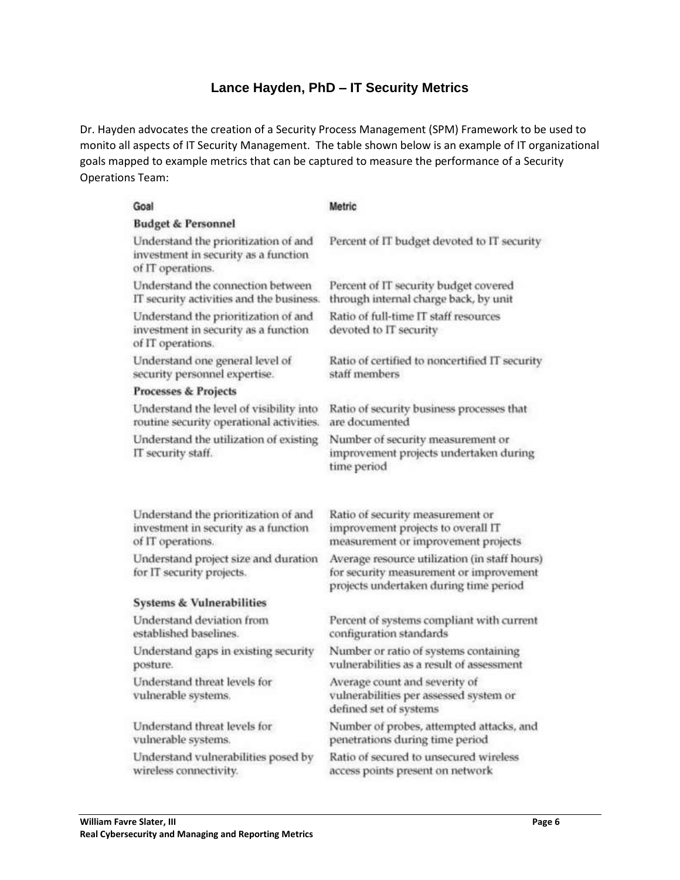## **Lance Hayden, PhD – IT Security Metrics**

<span id="page-5-0"></span>Dr. Hayden advocates the creation of a Security Process Management (SPM) Framework to be used to monito all aspects of IT Security Management. The table shown below is an example of IT organizational goals mapped to example metrics that can be captured to measure the performance of a Security Operations Team:

| Goal                                                                                              | Metric                                                                                                                             |  |  |  |  |  |
|---------------------------------------------------------------------------------------------------|------------------------------------------------------------------------------------------------------------------------------------|--|--|--|--|--|
| <b>Budget &amp; Personnel</b>                                                                     |                                                                                                                                    |  |  |  |  |  |
| Understand the prioritization of and<br>investment in security as a function<br>of IT operations. | Percent of IT budget devoted to IT security                                                                                        |  |  |  |  |  |
| Understand the connection between<br>IT security activities and the business.                     | Percent of IT security budget covered<br>through internal charge back, by unit                                                     |  |  |  |  |  |
| Understand the prioritization of and<br>investment in security as a function<br>of IT operations. | Ratio of full-time IT staff resources<br>devoted to IT security                                                                    |  |  |  |  |  |
| Understand one general level of<br>security personnel expertise.                                  | Ratio of certified to noncertified IT security<br>staff members                                                                    |  |  |  |  |  |
| <b>Processes &amp; Projects</b>                                                                   |                                                                                                                                    |  |  |  |  |  |
| Understand the level of visibility into<br>routine security operational activities.               | Ratio of security business processes that<br>are documented                                                                        |  |  |  |  |  |
| Understand the utilization of existing<br>IT security staff.                                      | Number of security measurement or<br>improvement projects undertaken during<br>time period                                         |  |  |  |  |  |
| Understand the prioritization of and<br>investment in security as a function<br>of IT operations. | Ratio of security measurement or<br>improvement projects to overall IT<br>measurement or improvement projects                      |  |  |  |  |  |
| Understand project size and duration<br>for IT security projects.                                 | Average resource utilization (in staff hours)<br>for security measurement or improvement<br>projects undertaken during time period |  |  |  |  |  |
| <b>Systems &amp; Vulnerabilities</b>                                                              |                                                                                                                                    |  |  |  |  |  |
| Understand deviation from<br>established baselines.                                               | Percent of systems compliant with current<br>configuration standards                                                               |  |  |  |  |  |
| Understand gaps in existing security<br>posture.                                                  | Number or ratio of systems containing<br>vulnerabilities as a result of assessment                                                 |  |  |  |  |  |
| Understand threat levels for<br>vulnerable systems.                                               | Average count and severity of<br>vulnerabilities per assessed system or<br>defined set of systems                                  |  |  |  |  |  |
| Understand threat levels for<br>vulnerable systems.                                               | Number of probes, attempted attacks, and<br>penetrations during time period                                                        |  |  |  |  |  |
| Understand vulnerabilities posed by<br>wireless connectivity.                                     | Ratio of secured to unsecured wireless<br>access points present on network                                                         |  |  |  |  |  |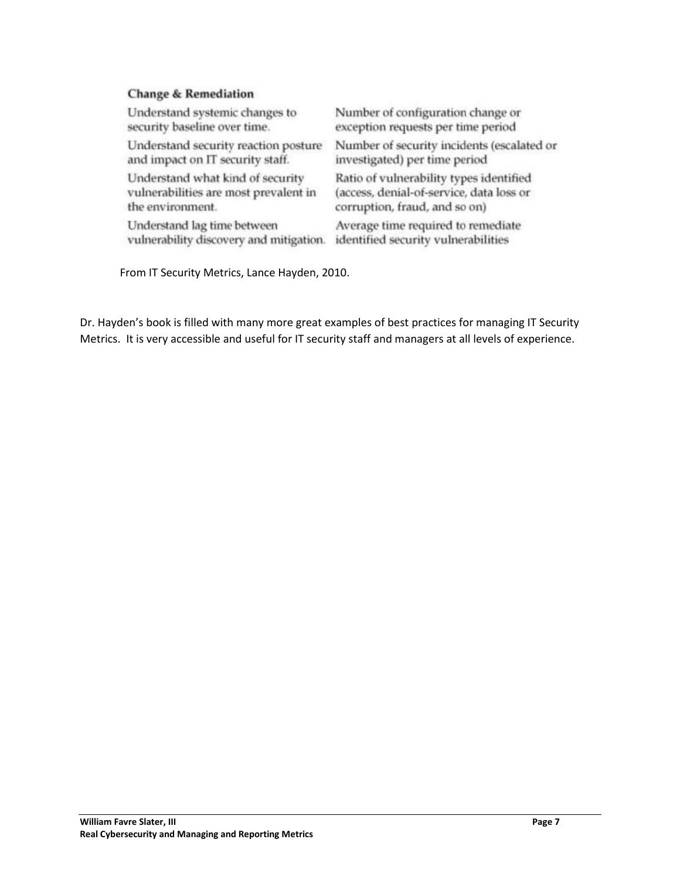### **Change & Remediation**

| Understand systemic changes to          | Number of configuration change or          |
|-----------------------------------------|--------------------------------------------|
| security baseline over time.            | exception requests per time period         |
| Understand security reaction posture    | Number of security incidents (escalated or |
| and impact on IT security staff.        | investigated) per time period              |
| Understand what kind of security        | Ratio of vulnerability types identified    |
| vulnerabilities are most prevalent in   | (access, denial-of-service, data loss or   |
| the environment.                        | corruption, fraud, and so on)              |
| Understand lag time between             | Average time required to remediate         |
| vulnerability discovery and mitigation. | identified security vulnerabilities        |

From IT Security Metrics, Lance Hayden, 2010.

Dr. Hayden's book is filled with many more great examples of best practices for managing IT Security Metrics. It is very accessible and useful for IT security staff and managers at all levels of experience.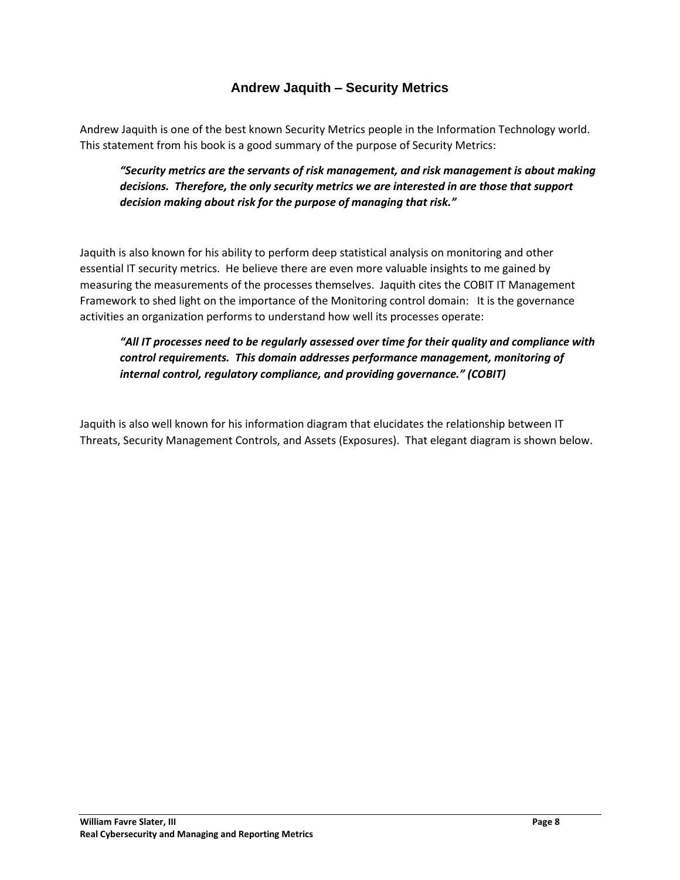## **Andrew Jaquith – Security Metrics**

<span id="page-7-0"></span>Andrew Jaquith is one of the best known Security Metrics people in the Information Technology world. This statement from his book is a good summary of the purpose of Security Metrics:

*"Security metrics are the servants of risk management, and risk management is about making decisions. Therefore, the only security metrics we are interested in are those that support decision making about risk for the purpose of managing that risk."*

Jaquith is also known for his ability to perform deep statistical analysis on monitoring and other essential IT security metrics. He believe there are even more valuable insights to me gained by measuring the measurements of the processes themselves. Jaquith cites the COBIT IT Management Framework to shed light on the importance of the Monitoring control domain: It is the governance activities an organization performs to understand how well its processes operate:

*"All IT processes need to be regularly assessed over time for their quality and compliance with control requirements. This domain addresses performance management, monitoring of internal control, regulatory compliance, and providing governance." (COBIT)*

Jaquith is also well known for his information diagram that elucidates the relationship between IT Threats, Security Management Controls, and Assets (Exposures). That elegant diagram is shown below.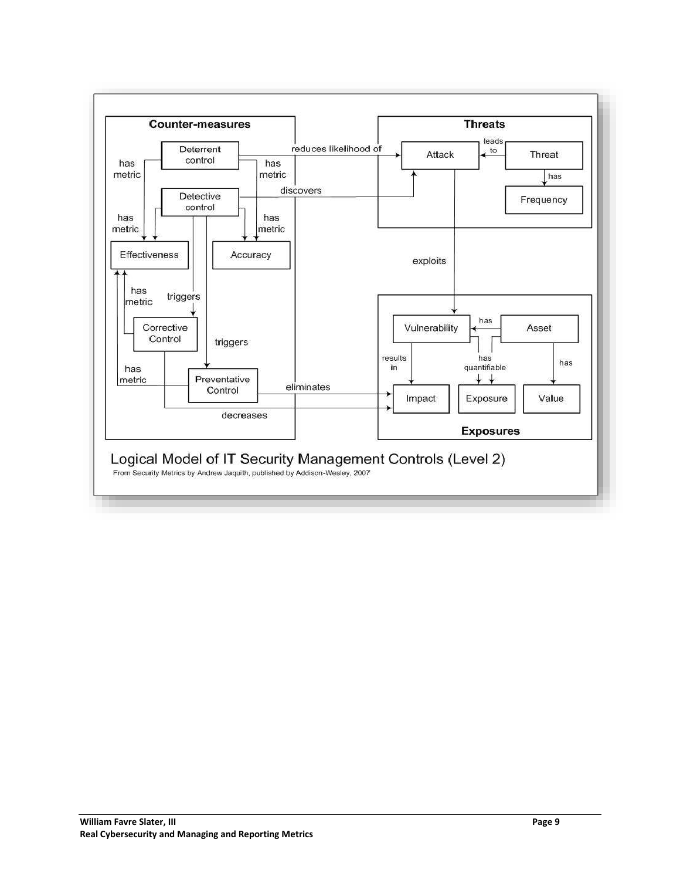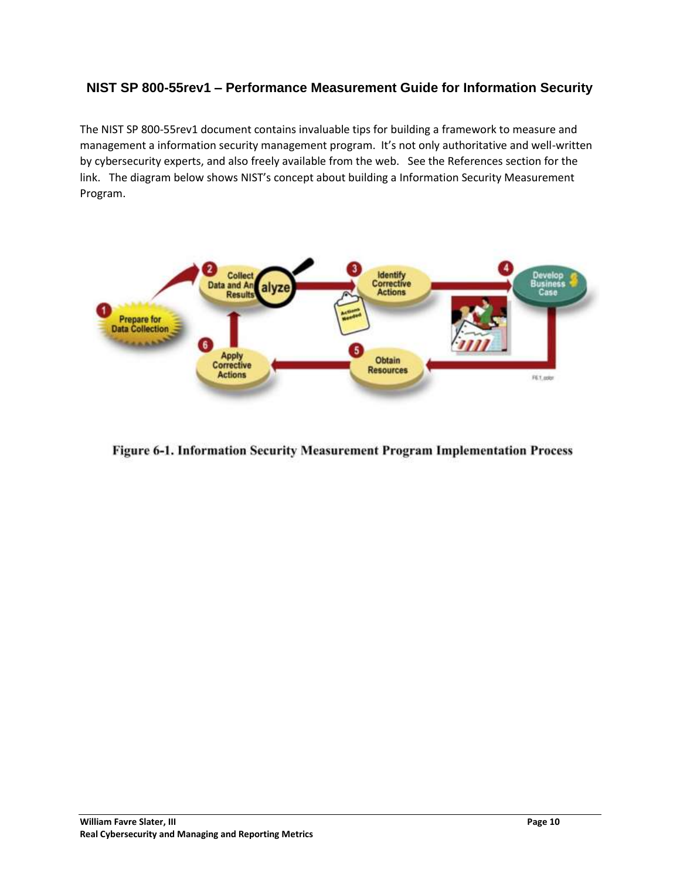## <span id="page-9-0"></span>**NIST SP 800-55rev1 – Performance Measurement Guide for Information Security**

The NIST SP 800-55rev1 document contains invaluable tips for building a framework to measure and management a information security management program. It's not only authoritative and well-written by cybersecurity experts, and also freely available from the web. See the References section for the link. The diagram below shows NIST's concept about building a Information Security Measurement Program.



Figure 6-1. Information Security Measurement Program Implementation Process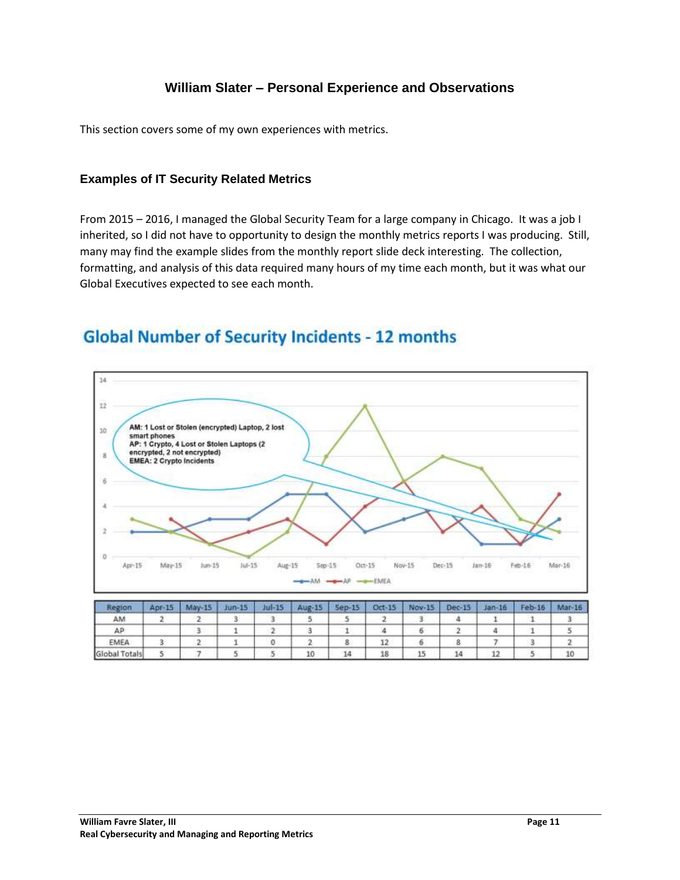## **William Slater – Personal Experience and Observations**

<span id="page-10-0"></span>This section covers some of my own experiences with metrics.

### <span id="page-10-1"></span>**Examples of IT Security Related Metrics**

From 2015 – 2016, I managed the Global Security Team for a large company in Chicago. It was a job I inherited, so I did not have to opportunity to design the monthly metrics reports I was producing. Still, many may find the example slides from the monthly report slide deck interesting. The collection, formatting, and analysis of this data required many hours of my time each month, but it was what our Global Executives expected to see each month.

## **Global Number of Security Incidents - 12 months**



| Region        | Apr-15 | $May-15$ | $Jun-15$ | $Jul-15$ | Aug-15 Sep-15 |    | Oct-15 | Nov-15 | Dec-15 | $Jan-16$ | Feb-16 | $Mar-16$ |
|---------------|--------|----------|----------|----------|---------------|----|--------|--------|--------|----------|--------|----------|
| AM            |        |          |          |          |               |    |        |        |        |          |        |          |
| AP.           |        |          |          |          |               |    |        |        |        |          |        |          |
| EMEA          |        |          |          |          |               |    | 12     |        |        |          |        |          |
| Global Totals |        |          |          |          | 10            | 14 | 18     | 12     |        | -4.40    |        |          |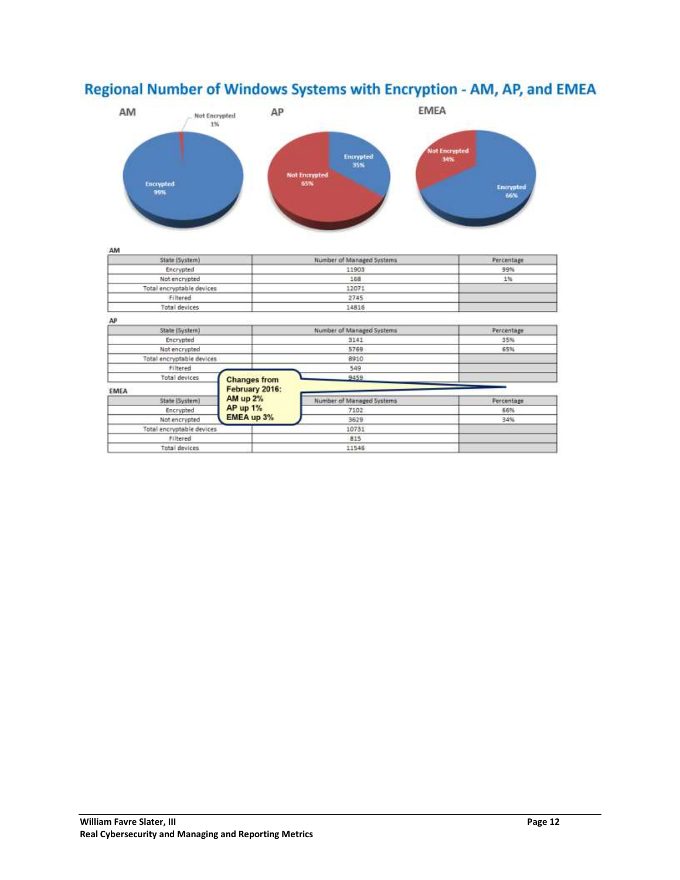

## Regional Number of Windows Systems with Encryption - AM, AP, and EMEA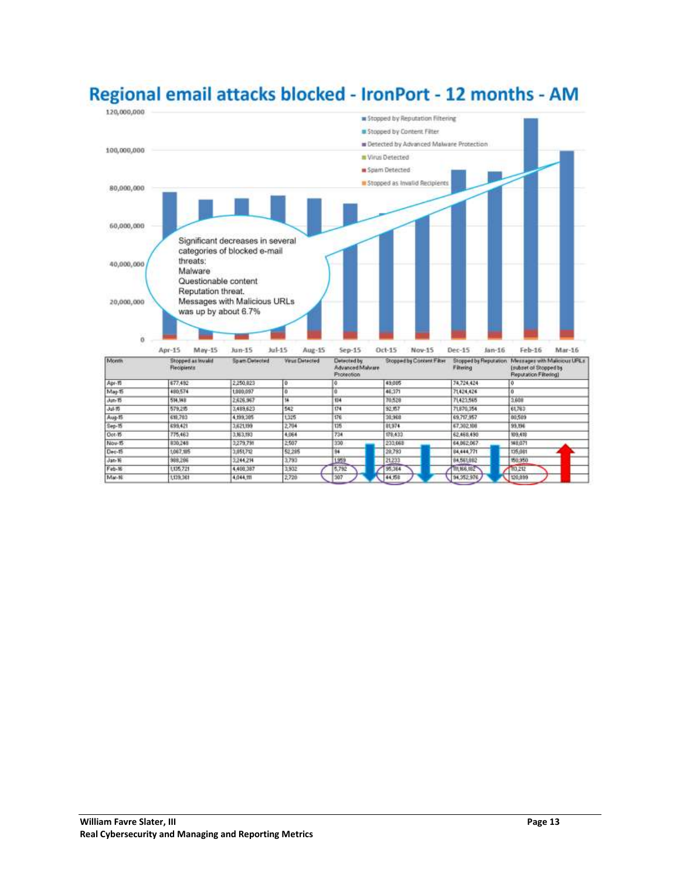

# Regional email attacks blocked - IronPort - 12 months - AM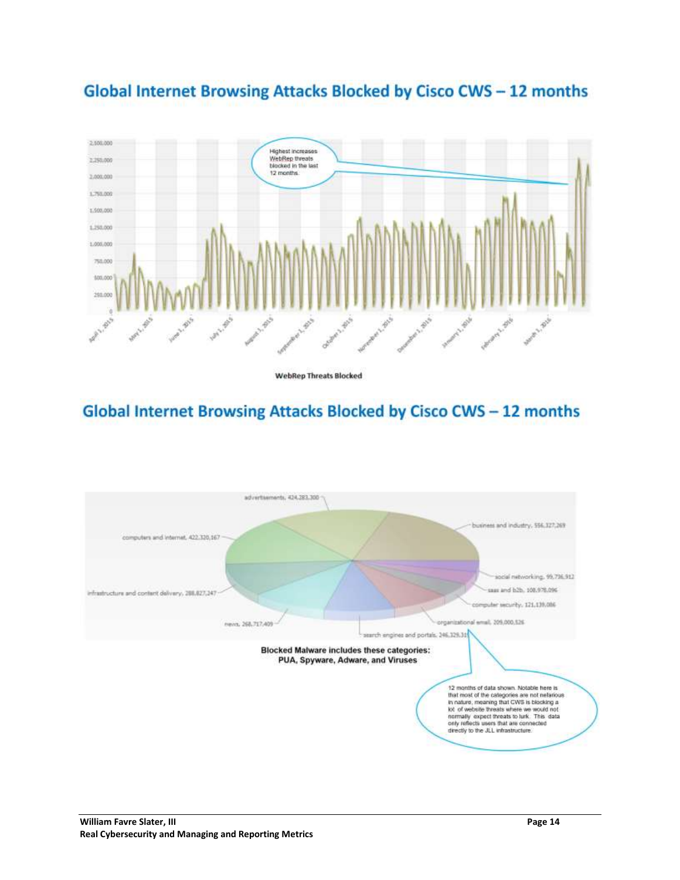

## **Global Internet Browsing Attacks Blocked by Cisco CWS - 12 months**

**WebRep Threats Blocked** 

# Global Internet Browsing Attacks Blocked by Cisco CWS - 12 months

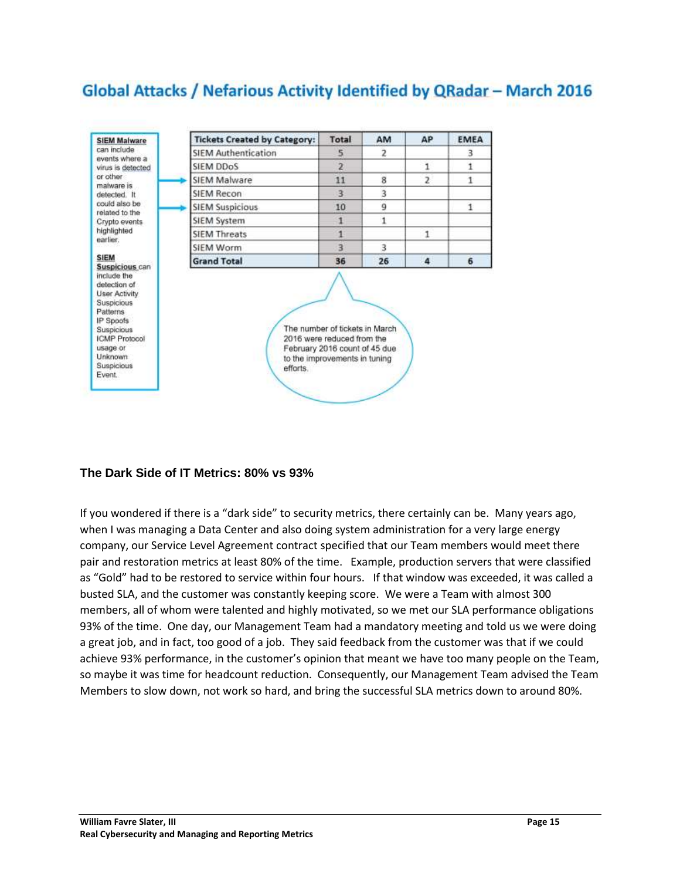## Global Attacks / Nefarious Activity Identified by QRadar - March 2016



## <span id="page-14-0"></span>**The Dark Side of IT Metrics: 80% vs 93%**

If you wondered if there is a "dark side" to security metrics, there certainly can be. Many years ago, when I was managing a Data Center and also doing system administration for a very large energy company, our Service Level Agreement contract specified that our Team members would meet there pair and restoration metrics at least 80% of the time. Example, production servers that were classified as "Gold" had to be restored to service within four hours. If that window was exceeded, it was called a busted SLA, and the customer was constantly keeping score. We were a Team with almost 300 members, all of whom were talented and highly motivated, so we met our SLA performance obligations 93% of the time. One day, our Management Team had a mandatory meeting and told us we were doing a great job, and in fact, too good of a job. They said feedback from the customer was that if we could achieve 93% performance, in the customer's opinion that meant we have too many people on the Team, so maybe it was time for headcount reduction. Consequently, our Management Team advised the Team Members to slow down, not work so hard, and bring the successful SLA metrics down to around 80%.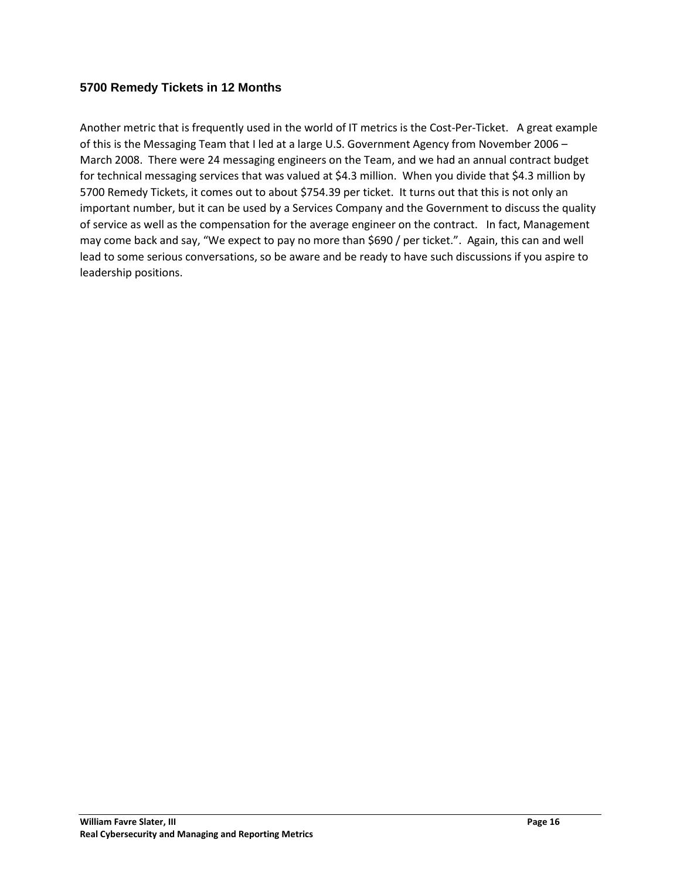### <span id="page-15-0"></span>**5700 Remedy Tickets in 12 Months**

Another metric that is frequently used in the world of IT metrics is the Cost-Per-Ticket. A great example of this is the Messaging Team that I led at a large U.S. Government Agency from November 2006 – March 2008. There were 24 messaging engineers on the Team, and we had an annual contract budget for technical messaging services that was valued at \$4.3 million. When you divide that \$4.3 million by 5700 Remedy Tickets, it comes out to about \$754.39 per ticket. It turns out that this is not only an important number, but it can be used by a Services Company and the Government to discuss the quality of service as well as the compensation for the average engineer on the contract. In fact, Management may come back and say, "We expect to pay no more than \$690 / per ticket.". Again, this can and well lead to some serious conversations, so be aware and be ready to have such discussions if you aspire to leadership positions.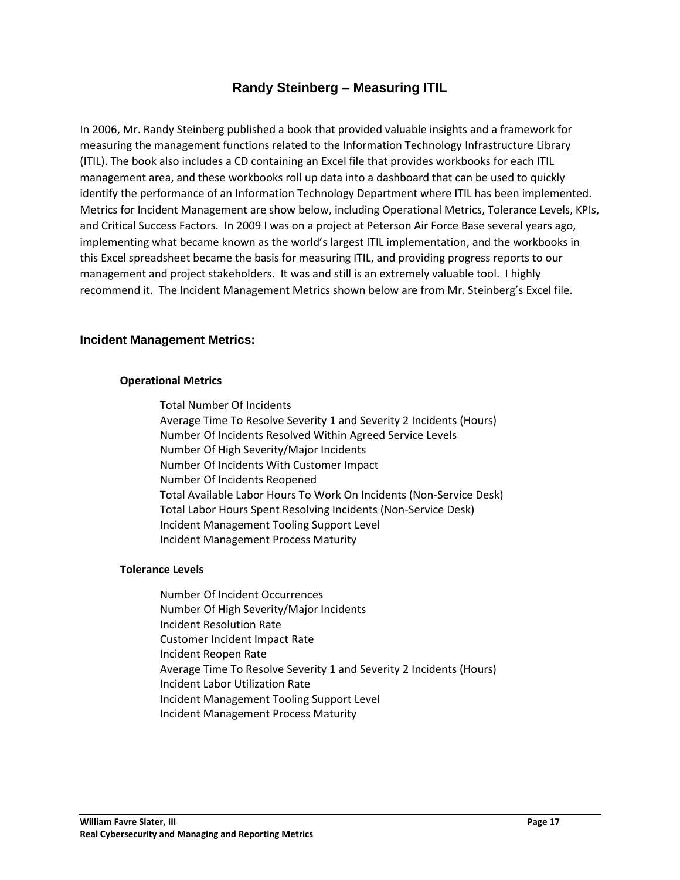## **Randy Steinberg – Measuring ITIL**

<span id="page-16-0"></span>In 2006, Mr. Randy Steinberg published a book that provided valuable insights and a framework for measuring the management functions related to the Information Technology Infrastructure Library (ITIL). The book also includes a CD containing an Excel file that provides workbooks for each ITIL management area, and these workbooks roll up data into a dashboard that can be used to quickly identify the performance of an Information Technology Department where ITIL has been implemented. Metrics for Incident Management are show below, including Operational Metrics, Tolerance Levels, KPIs, and Critical Success Factors. In 2009 I was on a project at Peterson Air Force Base several years ago, implementing what became known as the world's largest ITIL implementation, and the workbooks in this Excel spreadsheet became the basis for measuring ITIL, and providing progress reports to our management and project stakeholders. It was and still is an extremely valuable tool. I highly recommend it. The Incident Management Metrics shown below are from Mr. Steinberg's Excel file.

### <span id="page-16-1"></span>**Incident Management Metrics:**

#### **Operational Metrics**

Total Number Of Incidents Average Time To Resolve Severity 1 and Severity 2 Incidents (Hours) Number Of Incidents Resolved Within Agreed Service Levels Number Of High Severity/Major Incidents Number Of Incidents With Customer Impact Number Of Incidents Reopened Total Available Labor Hours To Work On Incidents (Non-Service Desk) Total Labor Hours Spent Resolving Incidents (Non-Service Desk) Incident Management Tooling Support Level Incident Management Process Maturity

#### **Tolerance Levels**

Number Of Incident Occurrences Number Of High Severity/Major Incidents Incident Resolution Rate Customer Incident Impact Rate Incident Reopen Rate Average Time To Resolve Severity 1 and Severity 2 Incidents (Hours) Incident Labor Utilization Rate Incident Management Tooling Support Level Incident Management Process Maturity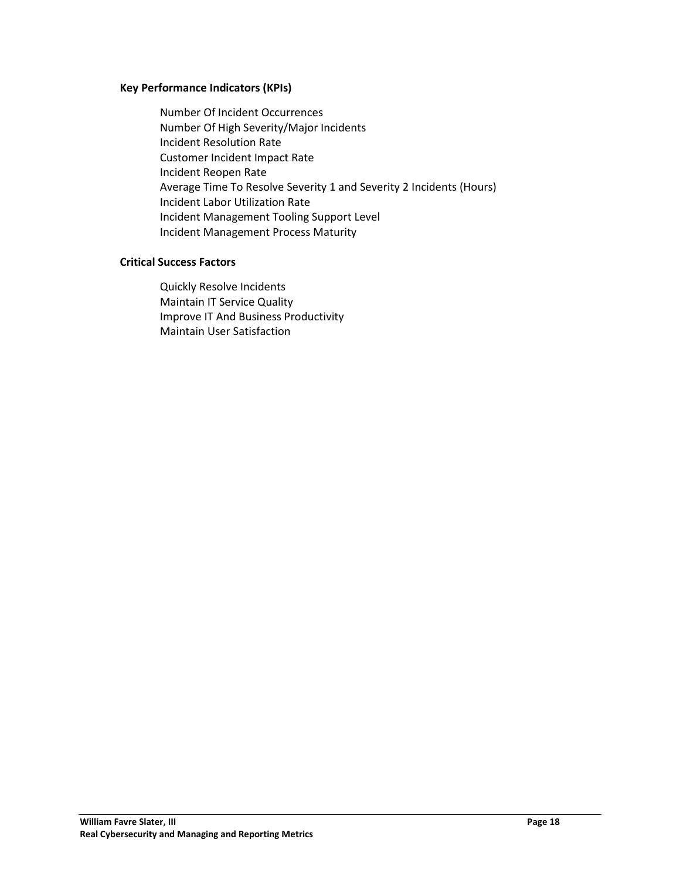#### **Key Performance Indicators (KPIs)**

Number Of Incident Occurrences Number Of High Severity/Major Incidents Incident Resolution Rate Customer Incident Impact Rate Incident Reopen Rate Average Time To Resolve Severity 1 and Severity 2 Incidents (Hours) Incident Labor Utilization Rate Incident Management Tooling Support Level Incident Management Process Maturity

#### **Critical Success Factors**

Quickly Resolve Incidents Maintain IT Service Quality Improve IT And Business Productivity Maintain User Satisfaction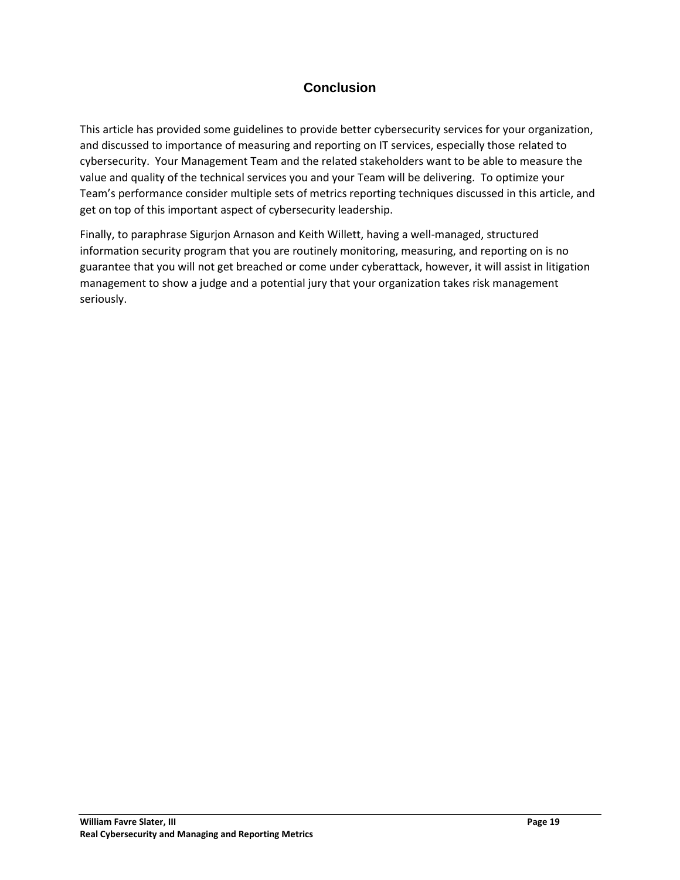## **Conclusion**

<span id="page-18-0"></span>This article has provided some guidelines to provide better cybersecurity services for your organization, and discussed to importance of measuring and reporting on IT services, especially those related to cybersecurity. Your Management Team and the related stakeholders want to be able to measure the value and quality of the technical services you and your Team will be delivering. To optimize your Team's performance consider multiple sets of metrics reporting techniques discussed in this article, and get on top of this important aspect of cybersecurity leadership.

Finally, to paraphrase Sigurjon Arnason and Keith Willett, having a well-managed, structured information security program that you are routinely monitoring, measuring, and reporting on is no guarantee that you will not get breached or come under cyberattack, however, it will assist in litigation management to show a judge and a potential jury that your organization takes risk management seriously.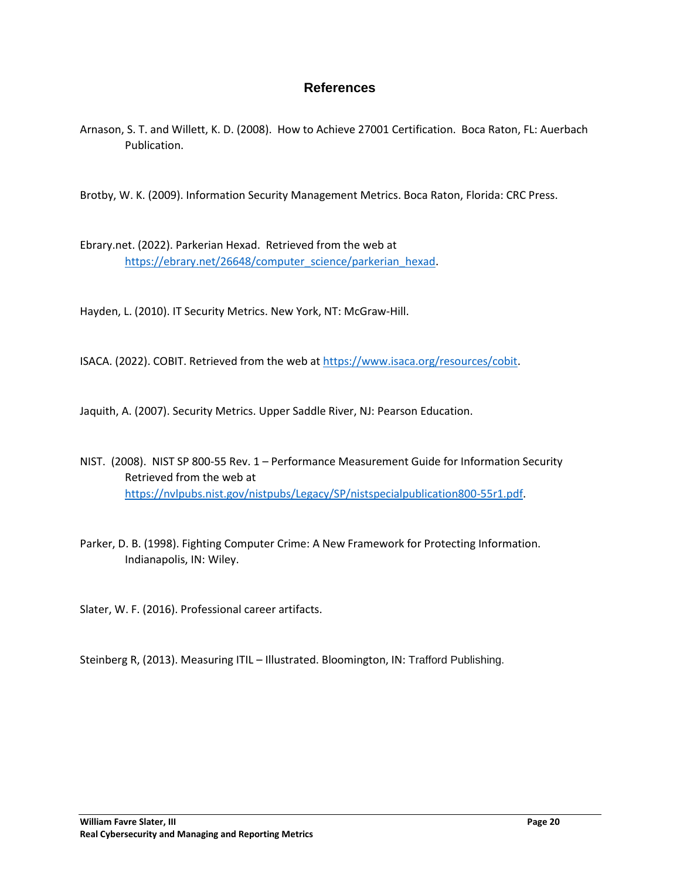## **References**

<span id="page-19-0"></span>Arnason, S. T. and Willett, K. D. (2008). How to Achieve 27001 Certification. Boca Raton, FL: Auerbach Publication.

Brotby, W. K. (2009). Information Security Management Metrics. Boca Raton, Florida: CRC Press.

Ebrary.net. (2022). Parkerian Hexad. Retrieved from the web at [https://ebrary.net/26648/computer\\_science/parkerian\\_hexad.](https://ebrary.net/26648/computer_science/parkerian_hexad)

Hayden, L. (2010). IT Security Metrics. New York, NT: McGraw-Hill.

ISACA. (2022). COBIT. Retrieved from the web at [https://www.isaca.org/resources/cobit.](https://www.isaca.org/resources/cobit)

Jaquith, A. (2007). Security Metrics. Upper Saddle River, NJ: Pearson Education.

- NIST. (2008). NIST SP 800-55 Rev. 1 Performance Measurement Guide for Information Security Retrieved from the web at [https://nvlpubs.nist.gov/nistpubs/Legacy/SP/nistspecialpublication800-55r1.pdf.](https://nvlpubs.nist.gov/nistpubs/Legacy/SP/nistspecialpublication800-55r1.pdf)
- Parker, D. B. (1998). Fighting Computer Crime: A New Framework for Protecting Information. Indianapolis, IN: Wiley.

Slater, W. F. (2016). Professional career artifacts.

Steinberg R, (2013). Measuring ITIL – Illustrated. Bloomington, IN: Trafford Publishing.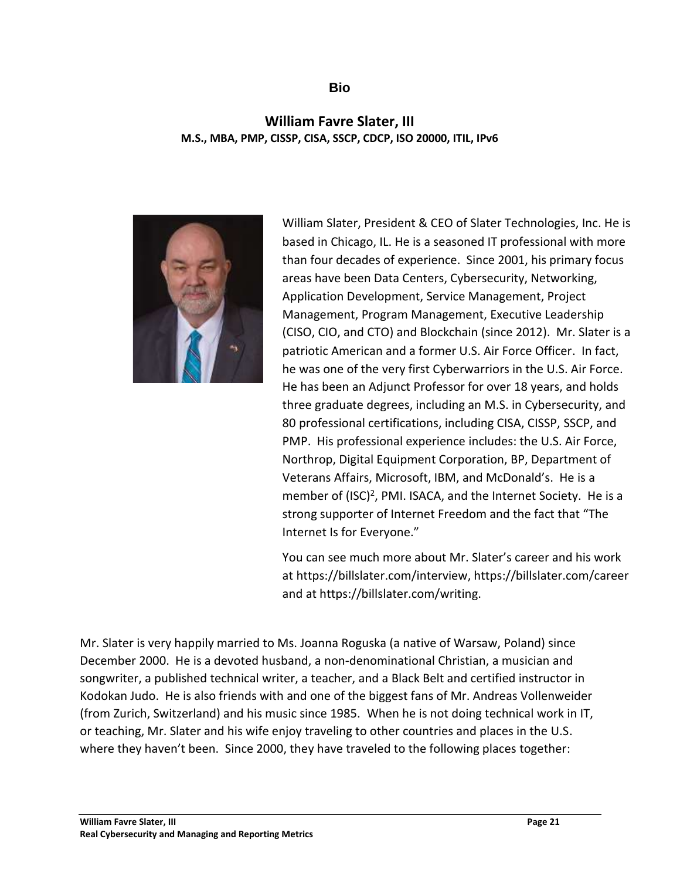## **Bio**

## <span id="page-20-0"></span>**William Favre Slater, III M.S., MBA, PMP, CISSP, CISA, SSCP, CDCP, ISO 20000, ITIL, IPv6**



William Slater, President & CEO of Slater Technologies, Inc. He is based in Chicago, IL. He is a seasoned IT professional with more than four decades of experience. Since 2001, his primary focus areas have been Data Centers, Cybersecurity, Networking, Application Development, Service Management, Project Management, Program Management, Executive Leadership (CISO, CIO, and CTO) and Blockchain (since 2012). Mr. Slater is a patriotic American and a former U.S. Air Force Officer. In fact, he was one of the very first Cyberwarriors in the U.S. Air Force. He has been an Adjunct Professor for over 18 years, and holds three graduate degrees, including an M.S. in Cybersecurity, and 80 professional certifications, including CISA, CISSP, SSCP, and PMP. His professional experience includes: the U.S. Air Force, Northrop, Digital Equipment Corporation, BP, Department of Veterans Affairs, Microsoft, IBM, and McDonald's. He is a member of (ISC)<sup>2</sup>, PMI. ISACA, and the Internet Society. He is a strong supporter of Internet Freedom and the fact that "The Internet Is for Everyone."

You can see much more about Mr. Slater's career and his work at https://billslater.com/interview, https://billslater.com/career and at https://billslater.com/writing.

Mr. Slater is very happily married to Ms. Joanna Roguska (a native of Warsaw, Poland) since December 2000. He is a devoted husband, a non-denominational Christian, a musician and songwriter, a published technical writer, a teacher, and a Black Belt and certified instructor in Kodokan Judo. He is also friends with and one of the biggest fans of Mr. Andreas Vollenweider (from Zurich, Switzerland) and his music since 1985. When he is not doing technical work in IT, or teaching, Mr. Slater and his wife enjoy traveling to other countries and places in the U.S. where they haven't been. Since 2000, they have traveled to the following places together: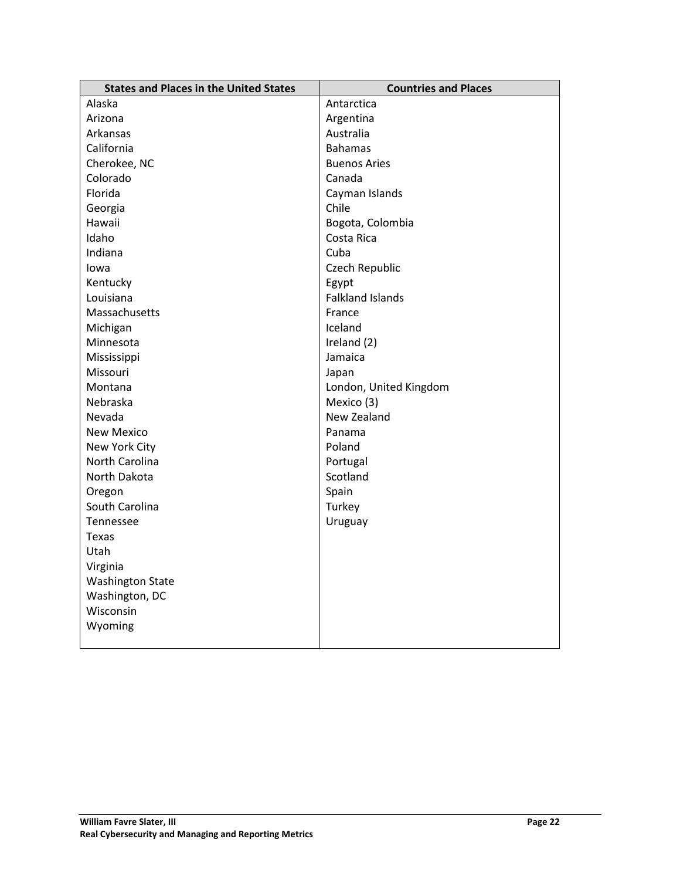| <b>States and Places in the United States</b> | <b>Countries and Places</b> |
|-----------------------------------------------|-----------------------------|
| Alaska                                        | Antarctica                  |
| Arizona                                       | Argentina                   |
| Arkansas                                      | Australia                   |
| California                                    | <b>Bahamas</b>              |
| Cherokee, NC                                  | <b>Buenos Aries</b>         |
| Colorado                                      | Canada                      |
| Florida                                       | Cayman Islands              |
| Georgia                                       | Chile                       |
| Hawaii                                        | Bogota, Colombia            |
| Idaho                                         | Costa Rica                  |
| Indiana                                       | Cuba                        |
| lowa                                          | Czech Republic              |
| Kentucky                                      | Egypt                       |
| Louisiana                                     | <b>Falkland Islands</b>     |
| Massachusetts                                 | France                      |
| Michigan                                      | Iceland                     |
| Minnesota                                     | Ireland (2)                 |
| Mississippi                                   | Jamaica                     |
| Missouri                                      | Japan                       |
| Montana                                       | London, United Kingdom      |
| Nebraska                                      | Mexico (3)                  |
| Nevada                                        | New Zealand                 |
| <b>New Mexico</b>                             | Panama                      |
| New York City                                 | Poland                      |
| North Carolina                                | Portugal                    |
| North Dakota                                  | Scotland                    |
| Oregon                                        | Spain                       |
| South Carolina                                | Turkey                      |
| Tennessee                                     | Uruguay                     |
| Texas                                         |                             |
| Utah                                          |                             |
| Virginia                                      |                             |
| <b>Washington State</b>                       |                             |
| Washington, DC                                |                             |
| Wisconsin                                     |                             |
| Wyoming                                       |                             |
|                                               |                             |